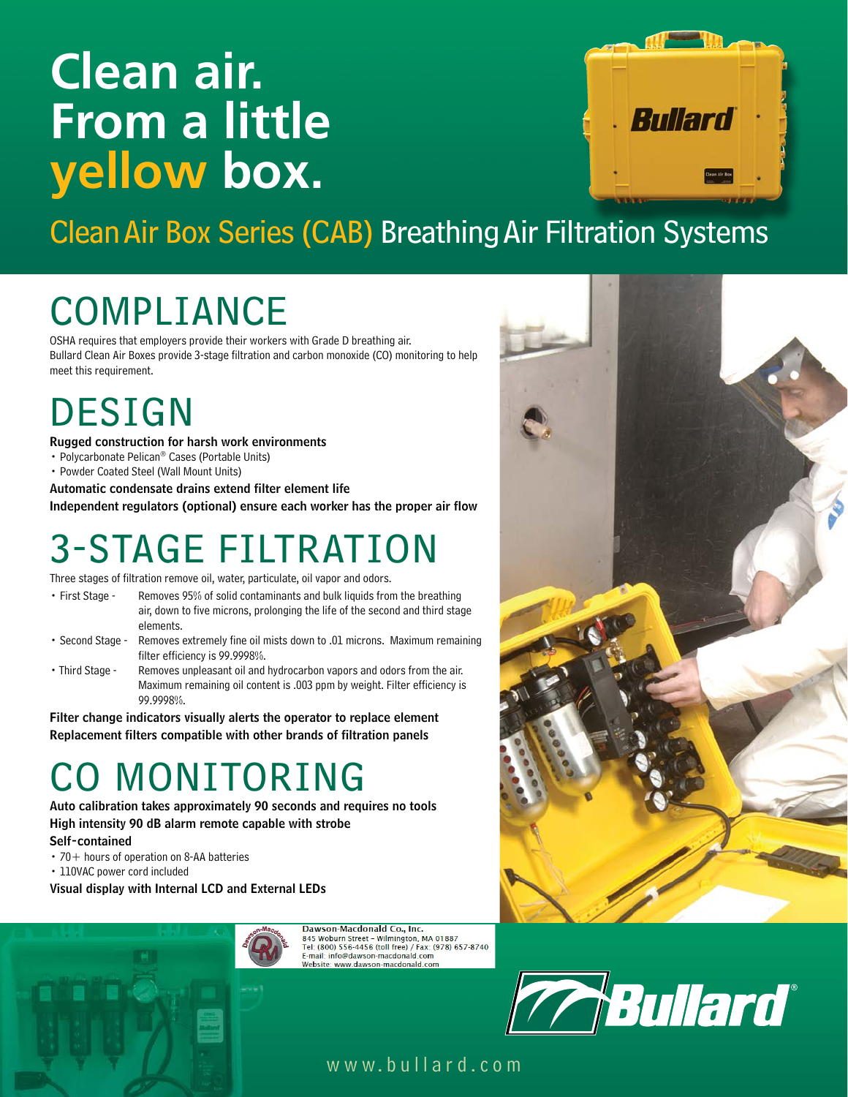# **Clean air. From a little yellow box.**



Clean Air Box Series (CAB) Breathing Air Filtration Systems

# COMPLIANCE

OSHA requires that employers provide their workers with Grade D breathing air. Bullard Clean Air Boxes provide 3-stage filtration and carbon monoxide (CO) monitoring to help meet this requirement.

## DESIGN

Rugged construction for harsh work environments

- Polycarbonate Pelican® Cases (Portable Units)
- Powder Coated Steel (Wall Mount Units)

Automatic condensate drains extend filter element life Independent regulators (optional) ensure each worker has the proper air flow

## 3-STAGE FILTRATION

Three stages of filtration remove oil, water, particulate, oil vapor and odors.

- First Stage Removes 95% of solid contaminants and bulk liquids from the breathing air, down to five microns, prolonging the life of the second and third stage elements.
- Second Stage Removes extremely fine oil mists down to .01 microns. Maximum remaining filter efficiency is 99.9998%.
- Third Stage Removes unpleasant oil and hydrocarbon vapors and odors from the air. Maximum remaining oil content is .003 ppm by weight. Filter efficiency is 99.9998%.

Filter change indicators visually alerts the operator to replace element Replacement filters compatible with other brands of filtration panels

## MONITORING

Auto calibration takes approximately 90 seconds and requires no tools High intensity 90 dB alarm remote capable with strobe Self-contained

- $\cdot$  70 + hours of operation on 8-AA batteries
- 110VAC power cord included

Visual display with Internal LCD and External LEDs



Dawson-Macdonald Co., Inc. 845 Woburn Street – Wilmington, MA 01887<br>Tel: (800) 556-4456 (toll free) / Fax: (978) 657-8740 E-mail: info@dawson-macdonald.com Website: www.dawson-macdonald.com



### www.bullard.com